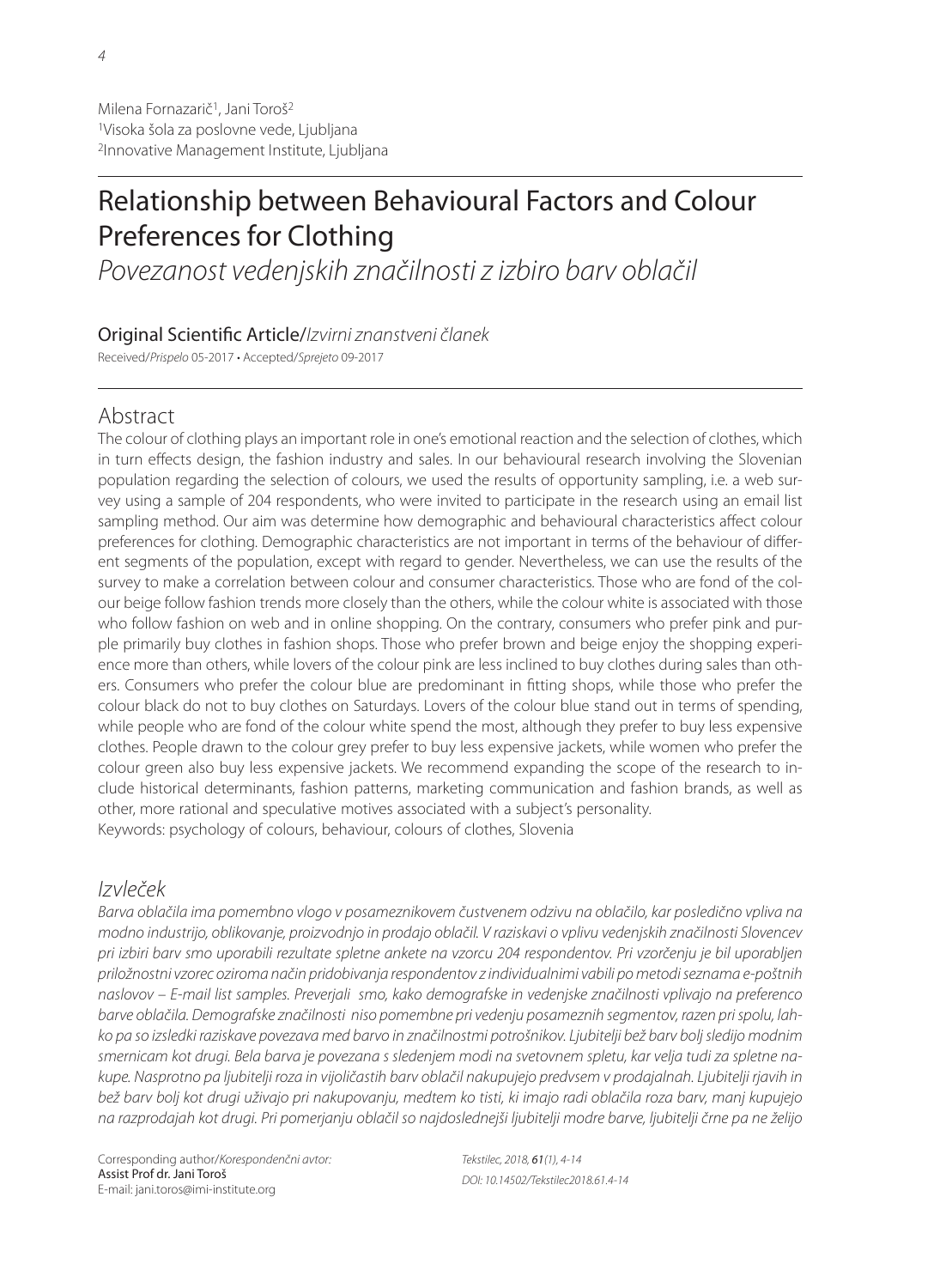# Relationship between Behavioural Factors and Colour Preferences for Clothing

Povezanost vedenjskih značilnosti z izbiro barv oblačil

### Original Scientific Article/Izvirni znanstveni članek

Received/Prispelo 05-2017 • Accepted/Sprejeto 09-2017

# Abstract

The colour of clothing plays an important role in one's emotional reaction and the selection of clothes, which in turn effects design, the fashion industry and sales. In our behavioural research involving the Slovenian population regarding the selection of colours, we used the results of opportunity sampling, i.e. a web survey using a sample of 204 respondents, who were invited to participate in the research using an email list sampling method. Our aim was determine how demographic and behavioural characteristics affect colour preferences for clothing. Demographic characteristics are not important in terms of the behaviour of different segments of the population, except with regard to gender. Nevertheless, we can use the results of the survey to make a correlation between colour and consumer characteristics. Those who are fond of the colour beige follow fashion trends more closely than the others, while the colour white is associated with those who follow fashion on web and in online shopping. On the contrary, consumers who prefer pink and purple primarily buy clothes in fashion shops. Those who prefer brown and beige enjoy the shopping experience more than others, while lovers of the colour pink are less inclined to buy clothes during sales than others. Consumers who prefer the colour blue are predominant in fitting shops, while those who prefer the colour black do not to buy clothes on Saturdays. Lovers of the colour blue stand out in terms of spending, while people who are fond of the colour white spend the most, although they prefer to buy less expensive clothes. People drawn to the colour grey prefer to buy less expensive jackets, while women who prefer the colour green also buy less expensive jackets. We recommend expanding the scope of the research to include historical determinants, fashion patterns, marketing communication and fashion brands, as well as other, more rational and speculative motives associated with a subject's personality. Keywords: psychology of colours, behaviour, colours of clothes, Slovenia

# Izvleček

Barva oblačila ima pomembno vlogo v posameznikovem čustvenem odzivu na oblačilo, kar posledično vpliva na modno industrijo, oblikovanje, proizvodnjo in prodajo oblačil. V raziskavi o vplivu vedenjskih značilnosti Slovencev pri izbiri barv smo uporabili rezultate spletne ankete na vzorcu 204 respondentov. Pri vzorčenju je bil uporabljen priložnostni vzorec oziroma način pridobivanja respondentov z individualnimi vabili po metodi seznama e-poštnih naslovov – E-mail list samples. Preverjali smo, kako demografske in vedenjske značilnosti vplivajo na preferenco barve oblačila. Demografske značilnosti niso pomembne pri vedenju posameznih segmentov, razen pri spolu, lahko pa so izsledki raziskave povezava med barvo in značilnostmi potrošnikov. Ljubitelji bež barv bolj sledijo modnim smernicam kot drugi. Bela barva je povezana s sledenjem modi na svetovnem spletu, kar velja tudi za spletne nakupe. Nasprotno pa ljubitelji roza in vijoličastih barv oblačil nakupujejo predvsem v prodajalnah. Ljubitelji rjavih in bež barv bolj kot drugi uživajo pri nakupovanju, medtem ko tisti, ki imajo radi oblačila roza barv, manj kupujejo na razprodajah kot drugi. Pri pomerjanju oblačil so najdoslednejši ljubitelji modre barve, ljubitelji črne pa ne želijo

Corresponding author/Korespondenčni avtor: Assist Prof dr. Jani Toroš E-mail: jani.toros@imi-institute.org

Tekstilec, 2018, 61(1), 4-14 DOI: 10.14502/Tekstilec2018.61.4-14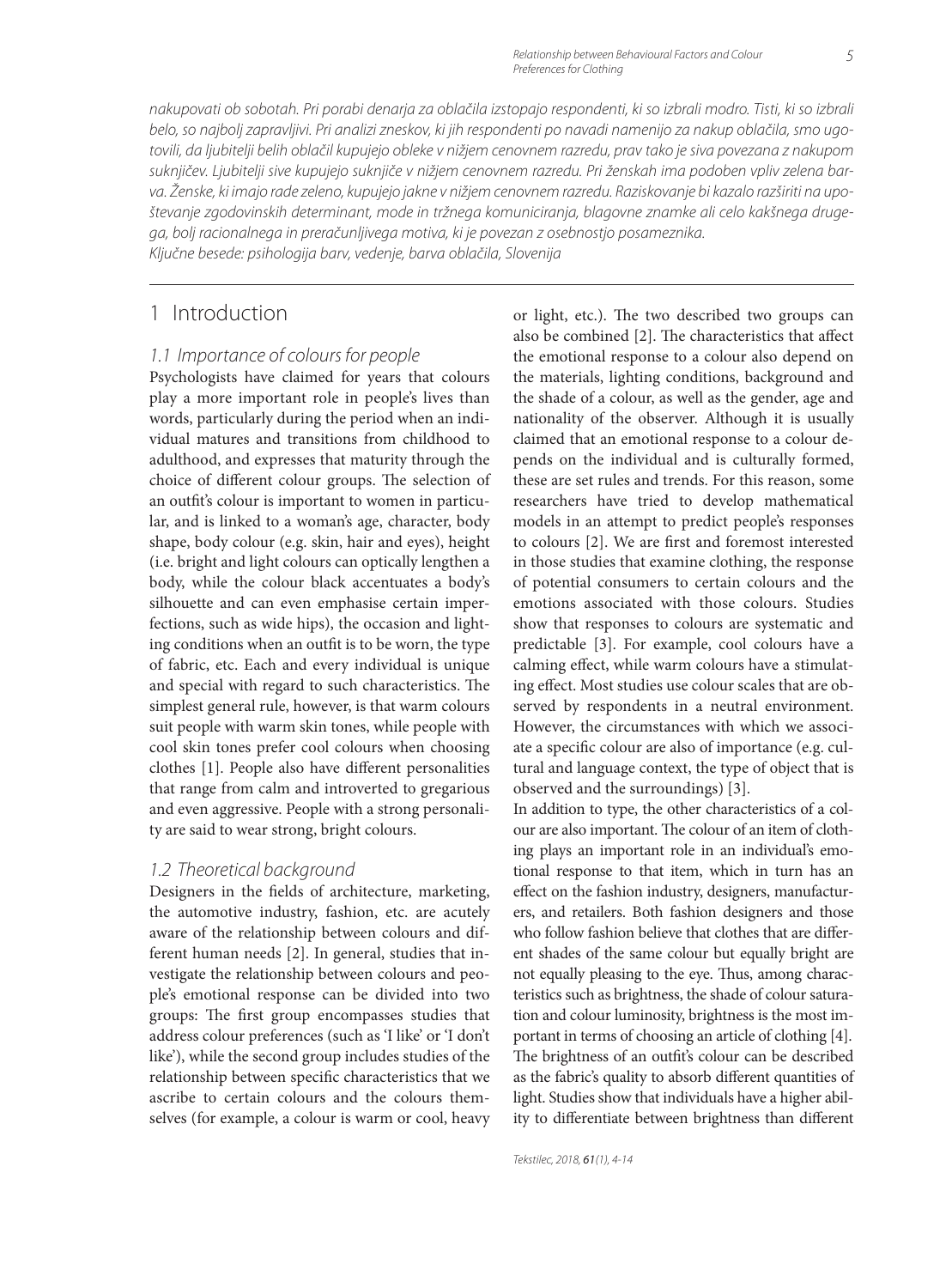nakupovati ob sobotah. Pri porabi denarja za oblačila izstopajo respondenti, ki so izbrali modro. Tisti, ki so izbrali belo, so najbolj zapravljivi. Pri analizi zneskov, ki jih respondenti po navadi namenijo za nakup oblačila, smo ugotovili, da ljubitelji belih oblačil kupujejo obleke v nižjem cenovnem razredu, prav tako je siva povezana z nakupom suknjičev. Ljubitelji sive kupujejo suknjiče v nižjem cenovnem razredu. Pri ženskah ima podoben vpliv zelena barva. Ženske, ki imajo rade zeleno, kupujejo jakne v nižjem cenovnem razredu. Raziskovanje bi kazalo razširiti na upoštevanje zgodovinskih determinant, mode in tržnega komuniciranja, blagovne znamke ali celo kakšnega drugega, bolj racionalnega in preračunljivega motiva, ki je povezan z osebnostjo posameznika. Ključne besede: psihologija barv, vedenje, barva oblačila, Slovenija

1 Introduction

#### 1.1 Importance of colours for people

Psychologists have claimed for years that colours play a more important role in people's lives than words, particularly during the period when an individual matures and transitions from childhood to adulthood, and expresses that maturity through the choice of different colour groups. The selection of an outfit's colour is important to women in particular, and is linked to a woman's age, character, body shape, body colour (e.g. skin, hair and eyes), height (i.e. bright and light colours can optically lengthen a body, while the colour black accentuates a body's silhouette and can even emphasise certain imperfections, such as wide hips), the occasion and lighting conditions when an outfit is to be worn, the type of fabric, etc. Each and every individual is unique and special with regard to such characteristics. The simplest general rule, however, is that warm colours suit people with warm skin tones, while people with cool skin tones prefer cool colours when choosing clothes [1]. People also have different personalities that range from calm and introverted to gregarious and even aggressive. People with a strong personality are said to wear strong, bright colours.

#### 1.2 Theoretical background

Designers in the fields of architecture, marketing, the automotive industry, fashion, etc. are acutely aware of the relationship between colours and different human needs [2]. In general, studies that investigate the relationship between colours and people's emotional response can be divided into two groups: The first group encompasses studies that address colour preferences (such as 'I like' or 'I don't like'), while the second group includes studies of the relationship between specific characteristics that we ascribe to certain colours and the colours themselves (for example, a colour is warm or cool, heavy or light, etc.). The two described two groups can also be combined [2]. The characteristics that affect the emotional response to a colour also depend on the materials, lighting conditions, background and the shade of a colour, as well as the gender, age and nationality of the observer. Although it is usually claimed that an emotional response to a colour depends on the individual and is culturally formed, these are set rules and trends. For this reason, some researchers have tried to develop mathematical models in an attempt to predict people's responses to colours [2]. We are first and foremost interested in those studies that examine clothing, the response of potential consumers to certain colours and the emotions associated with those colours. Studies show that responses to colours are systematic and predictable [3]. For example, cool colours have a calming effect, while warm colours have a stimulating effect. Most studies use colour scales that are observed by respondents in a neutral environment. However, the circumstances with which we associate a specific colour are also of importance (e.g. cultural and language context, the type of object that is observed and the surroundings) [3].

In addition to type, the other characteristics of a colour are also important. The colour of an item of clothing plays an important role in an individual's emotional response to that item, which in turn has an effect on the fashion industry, designers, manufacturers, and retailers. Both fashion designers and those who follow fashion believe that clothes that are different shades of the same colour but equally bright are not equally pleasing to the eye. Thus, among characteristics such as brightness, the shade of colour saturation and colour luminosity, brightness is the most important in terms of choosing an article of clothing [4]. The brightness of an outfit's colour can be described as the fabric's quality to absorb different quantities of light. Studies show that individuals have a higher ability to differentiate between brightness than different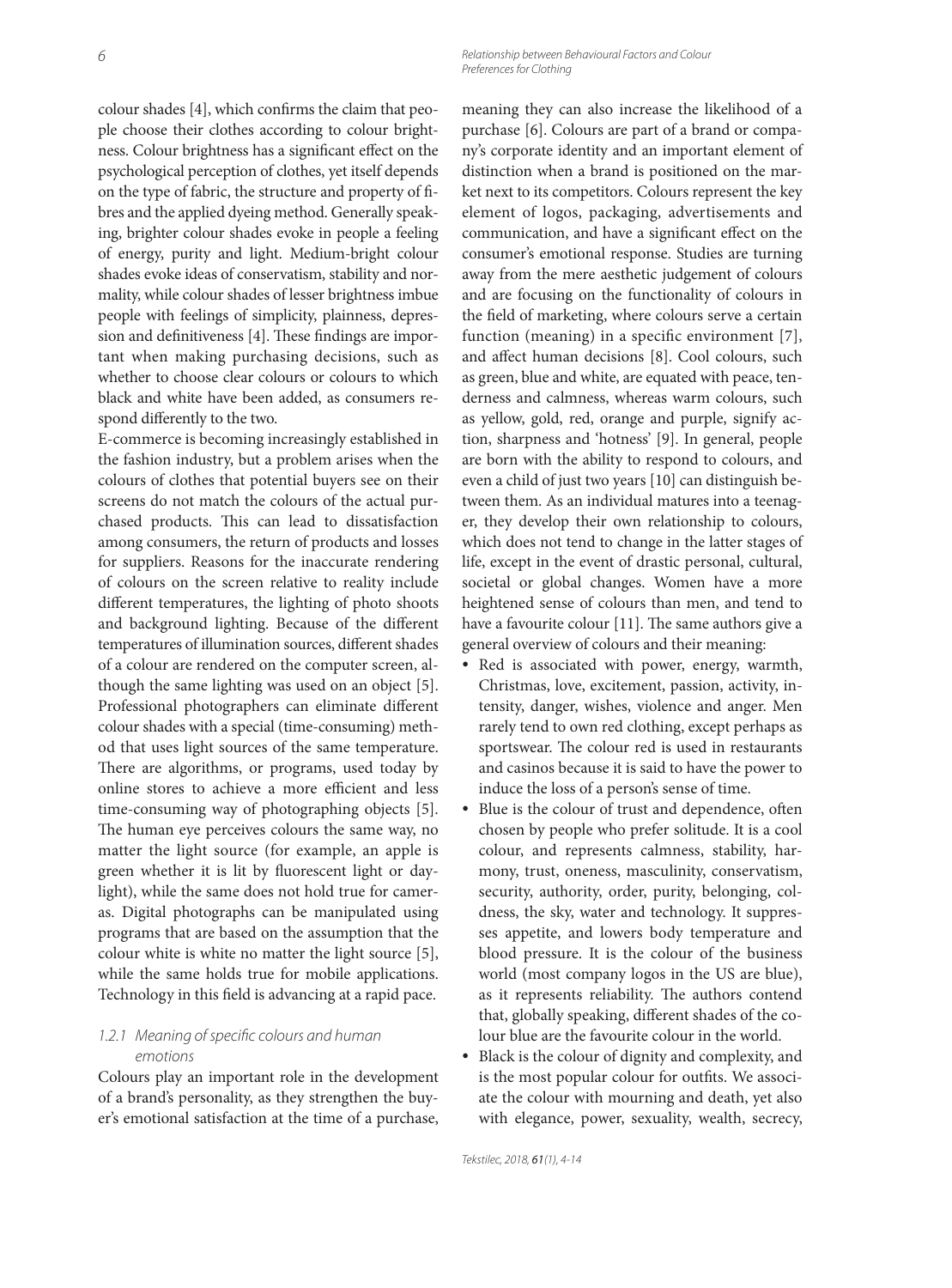6 Relationship between Behavioural Factors and Colour Preferences for Clothing

colour shades [4], which confirms the claim that people choose their clothes according to colour brightness. Colour brightness has a significant effect on the psychological perception of clothes, yet itself depends on the type of fabric, the structure and property of fibres and the applied dyeing method. Generally speaking, brighter colour shades evoke in people a feeling of energy, purity and light. Medium-bright colour shades evoke ideas of conservatism, stability and normality, while colour shades of lesser brightness imbue people with feelings of simplicity, plainness, depression and definitiveness [4]. These findings are important when making purchasing decisions, such as whether to choose clear colours or colours to which black and white have been added, as consumers respond differently to the two.

E-commerce is becoming increasingly established in the fashion industry, but a problem arises when the colours of clothes that potential buyers see on their screens do not match the colours of the actual purchased products. This can lead to dissatisfaction among consumers, the return of products and losses for suppliers. Reasons for the inaccurate rendering of colours on the screen relative to reality include different temperatures, the lighting of photo shoots and background lighting. Because of the different temperatures of illumination sources, different shades of a colour are rendered on the computer screen, although the same lighting was used on an object [5]. Professional photographers can eliminate different colour shades with a special (time-consuming) method that uses light sources of the same temperature. There are algorithms, or programs, used today by online stores to achieve a more efficient and less time-consuming way of photographing objects [5]. The human eye perceives colours the same way, no matter the light source (for example, an apple is green whether it is lit by fluorescent light or daylight), while the same does not hold true for cameras. Digital photographs can be manipulated using programs that are based on the assumption that the colour white is white no matter the light source [5], while the same holds true for mobile applications. Technology in this field is advancing at a rapid pace.

#### 1.2.1 Meaning of specific colours and human emotions

Colours play an important role in the development of a brand's personality, as they strengthen the buyer's emotional satisfaction at the time of a purchase, meaning they can also increase the likelihood of a purchase [6]. Colours are part of a brand or company's corporate identity and an important element of distinction when a brand is positioned on the market next to its competitors. Colours represent the key element of logos, packaging, advertisements and communication, and have a significant effect on the consumer's emotional response. Studies are turning away from the mere aesthetic judgement of colours and are focusing on the functionality of colours in the field of marketing, where colours serve a certain function (meaning) in a specific environment  $[7]$ , and affect human decisions [8]. Cool colours, such as green, blue and white, are equated with peace, tenderness and calmness, whereas warm colours, such as yellow, gold, red, orange and purple, signify action, sharpness and 'hotness' [9]. In general, people are born with the ability to respond to colours, and even a child of just two years [10] can distinguish between them. As an individual matures into a teenager, they develop their own relationship to colours, which does not tend to change in the latter stages of life, except in the event of drastic personal, cultural, societal or global changes. Women have a more heightened sense of colours than men, and tend to have a favourite colour [11]. The same authors give a general overview of colours and their meaning:

- Red is associated with power, energy, warmth, Christmas, love, excitement, passion, activity, intensity, danger, wishes, violence and anger. Men rarely tend to own red clothing, except perhaps as sportswear. The colour red is used in restaurants and casinos because it is said to have the power to induce the loss of a person's sense of time.
- Blue is the colour of trust and dependence, often chosen by people who prefer solitude. It is a cool colour, and represents calmness, stability, harmony, trust, oneness, masculinity, conservatism, security, authority, order, purity, belonging, coldness, the sky, water and technology. It suppresses appetite, and lowers body temperature and blood pressure. It is the colour of the business world (most company logos in the US are blue), as it represents reliability. The authors contend that, globally speaking, different shades of the colour blue are the favourite colour in the world.
- Black is the colour of dignity and complexity, and is the most popular colour for outfits. We associate the colour with mourning and death, yet also with elegance, power, sexuality, wealth, secrecy,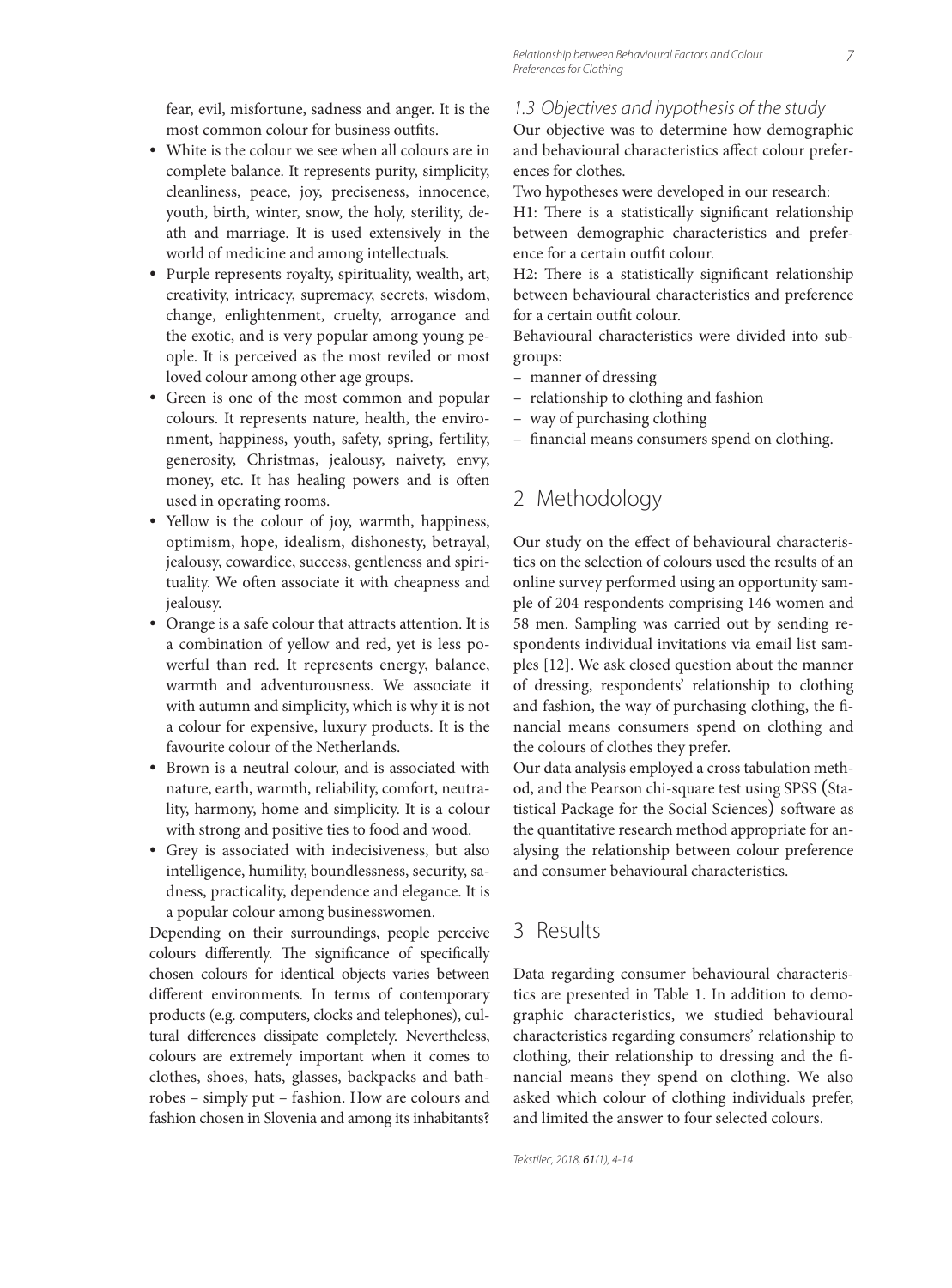fear, evil, misfortune, sadness and anger. It is the most common colour for business outfits.

- White is the colour we see when all colours are in complete balance. It represents purity, simplicity, cleanliness, peace, joy, preciseness, innocence, youth, birth, winter, snow, the holy, sterility, death and marriage. It is used extensively in the world of medicine and among intellectuals.
- Purple represents royalty, spirituality, wealth, art, creativity, intricacy, supremacy, secrets, wisdom, change, enlightenment, cruelty, arrogance and the exotic, and is very popular among young people. It is perceived as the most reviled or most loved colour among other age groups.
- Green is one of the most common and popular colours. It represents nature, health, the environment, happiness, youth, safety, spring, fertility, generosity, Christmas, jealousy, naivety, envy, money, etc. It has healing powers and is often used in operating rooms.
- Yellow is the colour of joy, warmth, happiness, optimism, hope, idealism, dishonesty, betrayal, jealousy, cowardice, success, gentleness and spirituality. We often associate it with cheapness and jealousy.
- Orange is a safe colour that attracts attention. It is a combination of yellow and red, yet is less powerful than red. It represents energy, balance, warmth and adventurousness. We associate it with autumn and simplicity, which is why it is not a colour for expensive, luxury products. It is the favourite colour of the Netherlands.
- Brown is a neutral colour, and is associated with nature, earth, warmth, reliability, comfort, neutrality, harmony, home and simplicity. It is a colour with strong and positive ties to food and wood.
- Grey is associated with indecisiveness, but also intelligence, humility, boundlessness, security, sadness, practicality, dependence and elegance. It is a popular colour among businesswomen.

Depending on their surroundings, people perceive colours differently. The significance of specifically chosen colours for identical objects varies between different environments. In terms of contemporary products (e.g. computers, clocks and telephones), cultural differences dissipate completely. Nevertheless, colours are extremely important when it comes to clothes, shoes, hats, glasses, backpacks and bathrobes – simply put – fashion. How are colours and fashion chosen in Slovenia and among its inhabitants?

#### 1.3 Objectives and hypothesis of the study

Our objective was to determine how demographic and behavioural characteristics affect colour preferences for clothes.

Two hypotheses were developed in our research:

H1: There is a statistically significant relationship between demographic characteristics and preference for a certain outfit colour.

H2: There is a statistically significant relationship between behavioural characteristics and preference for a certain outfit colour.

Behavioural characteristics were divided into subgroups:

- manner of dressing
- relationship to clothing and fashion
- way of purchasing clothing
- financial means consumers spend on clothing.

# 2 Methodology

Our study on the effect of behavioural characteristics on the selection of colours used the results of an online survey performed using an opportunity sample of 204 respondents comprising 146 women and 58 men. Sampling was carried out by sending respondents individual invitations via email list samples [12]. We ask closed question about the manner of dressing, respondents' relationship to clothing and fashion, the way of purchasing clothing, the financial means consumers spend on clothing and the colours of clothes they prefer.

Our data analysis employed a cross tabulation method, and the Pearson chi-square test using SPSS (Statistical Package for the Social Sciences) software as the quantitative research method appropriate for analysing the relationship between colour preference and consumer behavioural characteristics.

### 3 Results

Data regarding consumer behavioural characteristics are presented in Table 1. In addition to demographic characteristics, we studied behavioural characteristics regarding consumers' relationship to clothing, their relationship to dressing and the financial means they spend on clothing. We also asked which colour of clothing individuals prefer, and limited the answer to four selected colours.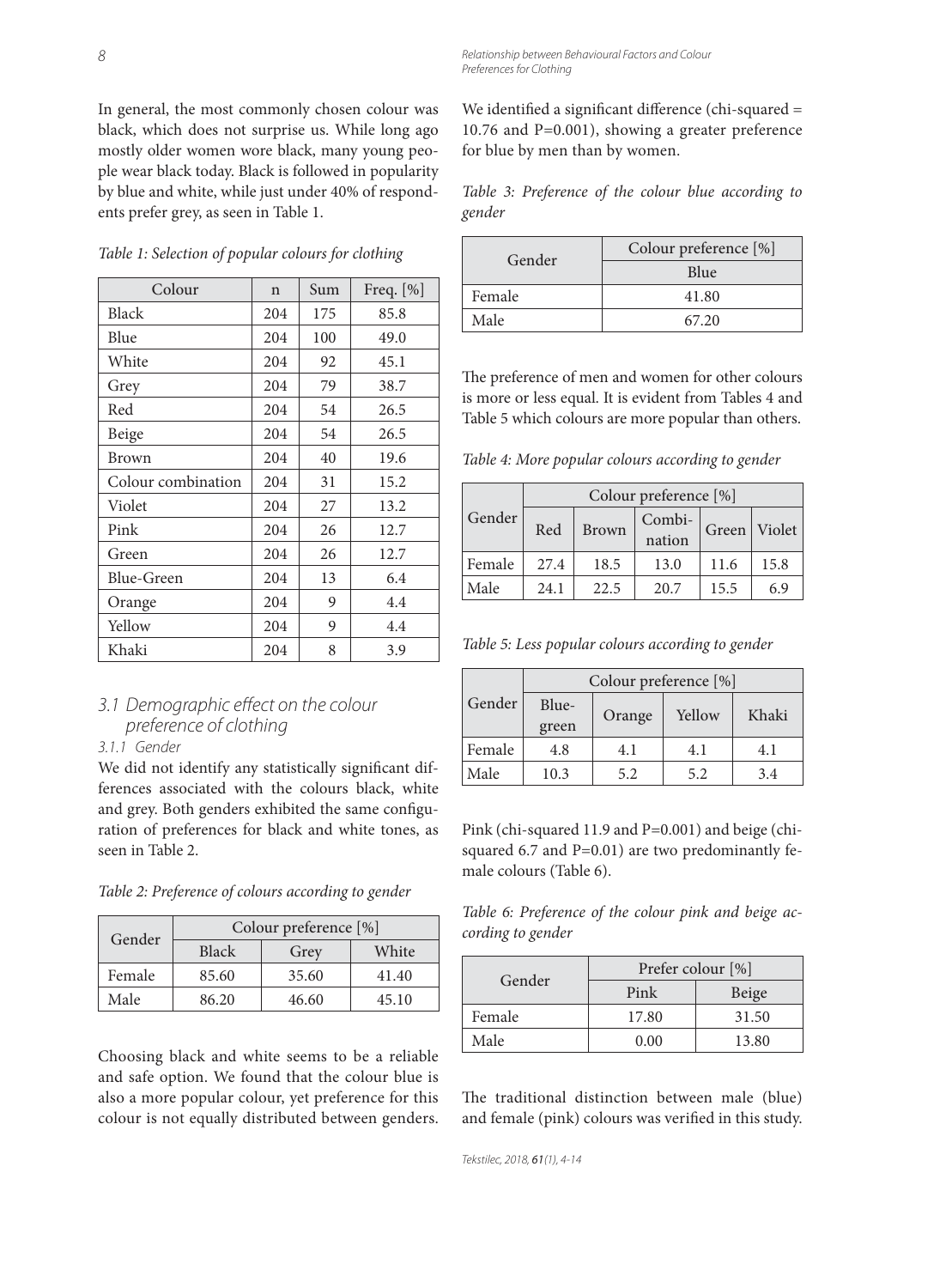In general, the most commonly chosen colour was black, which does not surprise us. While long ago mostly older women wore black, many young people wear black today. Black is followed in popularity by blue and white, while just under 40% of respondents prefer grey, as seen in Table 1.

|  |  |  |  | Table 1: Selection of popular colours for clothing |  |  |  |  |  |  |  |  |
|--|--|--|--|----------------------------------------------------|--|--|--|--|--|--|--|--|
|--|--|--|--|----------------------------------------------------|--|--|--|--|--|--|--|--|

| Colour             | $\mathsf{n}$ | Sum | Freq. $[\%]$ |
|--------------------|--------------|-----|--------------|
| Black              | 204          | 175 | 85.8         |
| Blue               | 204          | 100 | 49.0         |
| White              | 204          | 92  | 45.1         |
| Grey               | 204          | 79  | 38.7         |
| Red                | 204          | 54  | 26.5         |
| Beige              | 204          | 54  | 26.5         |
| Brown              | 204          | 40  | 19.6         |
| Colour combination | 204          | 31  | 15.2         |
| Violet             | 204          | 27  | 13.2         |
| Pink               | 204          | 26  | 12.7         |
| Green              | 204          | 26  | 12.7         |
| Blue-Green         | 204          | 13  | 6.4          |
| Orange             | 204          | 9   | 4.4          |
| Yellow             | 204          | 9   | 4.4          |
| Khaki              | 204          | 8   | 3.9          |

## 3.1 Demographic effect on the colour preference of clothing

#### 3.1.1 Gender

We did not identify any statistically significant differences associated with the colours black, white and grey. Both genders exhibited the same configuration of preferences for black and white tones, as seen in Table 2.

*Table 2: Preference of colours according to gender*

| Gender | Colour preference [%] |       |       |  |  |
|--------|-----------------------|-------|-------|--|--|
|        | <b>Black</b>          | Grey  | White |  |  |
| Female | 85.60                 | 35.60 | 41.40 |  |  |
| Male   | 86.20                 | 46.60 | 45.10 |  |  |

Choosing black and white seems to be a reliable and safe option. We found that the colour blue is also a more popular colour, yet preference for this colour is not equally distributed between genders.

We identified a significant difference (chi-squared = 10.76 and P=0.001), showing a greater preference for blue by men than by women.

*Table 3: Preference of the colour blue according to gender*

| Gender | Colour preference [%] |  |  |
|--------|-----------------------|--|--|
|        | Blue                  |  |  |
| Female | 41.80                 |  |  |
| Male   | 67.20                 |  |  |

The preference of men and women for other colours is more or less equal. It is evident from Tables 4 and Table 5 which colours are more popular than others.

*Table 4: More popular colours according to gender*

|        | Colour preference [%] |              |                  |      |              |  |
|--------|-----------------------|--------------|------------------|------|--------------|--|
| Gender | Red                   | <b>Brown</b> | Combi-<br>nation |      | Green Violet |  |
| Female | 27.4                  | 18.5         | 13.0             | 11.6 | 15.8         |  |
| Male   | 24.1                  | 22.5         | 20.7             | 15.5 | 6.9          |  |

*Table 5: Less popular colours according to gender*

|        |                |        | Colour preference [%] |       |  |
|--------|----------------|--------|-----------------------|-------|--|
| Gender | Blue-<br>green | Orange | Yellow                | Khaki |  |
| Female | 4.8            | 4.1    | 4.1                   | 4.1   |  |
| Male   | 10.3           | 5.2    | 5.2                   | 3.4   |  |

Pink (chi-squared 11.9 and P=0.001) and beige (chisquared 6.7 and P=0.01) are two predominantly female colours (Table 6).

*Table 6: Preference of the colour pink and beige according to gender*

| Gender | Prefer colour [%] |       |  |  |
|--------|-------------------|-------|--|--|
|        | Pink              | Beige |  |  |
| Female | 17.80             | 31.50 |  |  |
| Male   | 0.00              | 13.80 |  |  |

The traditional distinction between male (blue) and female (pink) colours was verified in this study.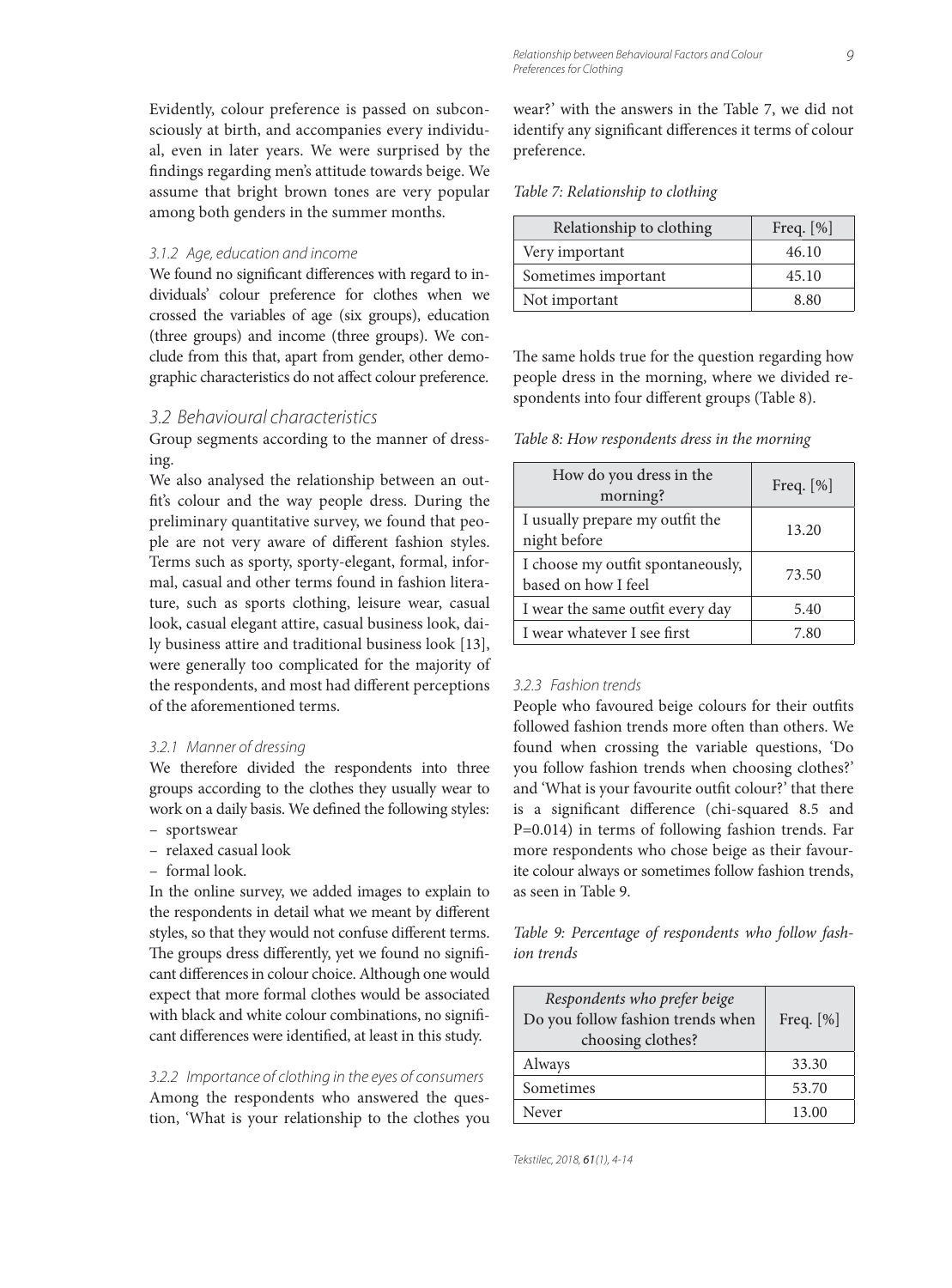#### 3.1.2 Age, education and income

We found no significant differences with regard to individuals' colour preference for clothes when we crossed the variables of age (six groups), education (three groups) and income (three groups). We conclude from this that, apart from gender, other demographic characteristics do not affect colour preference.

#### 3.2 Behavioural characteristics

Group segments according to the manner of dressing.

We also analysed the relationship between an outfit's colour and the way people dress. During the preliminary quantitative survey, we found that people are not very aware of different fashion styles. Terms such as sporty, sporty-elegant, formal, informal, casual and other terms found in fashion literature, such as sports clothing, leisure wear, casual look, casual elegant attire, casual business look, daily business attire and traditional business look [13], were generally too complicated for the majority of the respondents, and most had different perceptions of the aforementioned terms.

#### 3.2.1 Manner of dressing

We therefore divided the respondents into three groups according to the clothes they usually wear to work on a daily basis. We defined the following styles:

- sportswear
- relaxed casual look
- formal look.

In the online survey, we added images to explain to the respondents in detail what we meant by different styles, so that they would not confuse different terms. The groups dress differently, yet we found no significant differences in colour choice. Although one would expect that more formal clothes would be associated with black and white colour combinations, no significant differences were identified, at least in this study.

3.2.2 Importance of clothing in the eyes of consumers Among the respondents who answered the question, 'What is your relationship to the clothes you wear?' with the answers in the Table 7, we did not identify any significant differences it terms of colour preference.

#### *Table 7: Relationship to clothing*

| Relationship to clothing | Freq. $[\%]$ |
|--------------------------|--------------|
| Very important           | 46.10        |
| Sometimes important      | 45.10        |
| Not important            | 8.80         |

The same holds true for the question regarding how people dress in the morning, where we divided respondents into four different groups (Table 8).

*Table 8: How respondents dress in the morning*

| How do you dress in the<br>morning?                      | Freq. $[\%]$ |
|----------------------------------------------------------|--------------|
| I usually prepare my outfit the<br>night before          | 13.20        |
| I choose my outfit spontaneously,<br>based on how I feel | 73.50        |
| I wear the same outfit every day                         | 5.40         |
| I wear whatever I see first                              | 7.80         |

#### 3.2.3 Fashion trends

People who favoured beige colours for their outfits followed fashion trends more often than others. We found when crossing the variable questions, 'Do you follow fashion trends when choosing clothes?' and 'What is your favourite outfit colour?' that there is a significant difference (chi-squared 8.5 and P=0.014) in terms of following fashion trends. Far more respondents who chose beige as their favourite colour always or sometimes follow fashion trends, as seen in Table 9.

*Table 9: Percentage of respondents who follow fashion trends*

| Respondents who prefer beige<br>Do you follow fashion trends when<br>choosing clothes? | Freq. $[\%]$ |  |
|----------------------------------------------------------------------------------------|--------------|--|
| Always                                                                                 | 33.30        |  |
| Sometimes                                                                              | 53.70        |  |
| Never                                                                                  | 13.00        |  |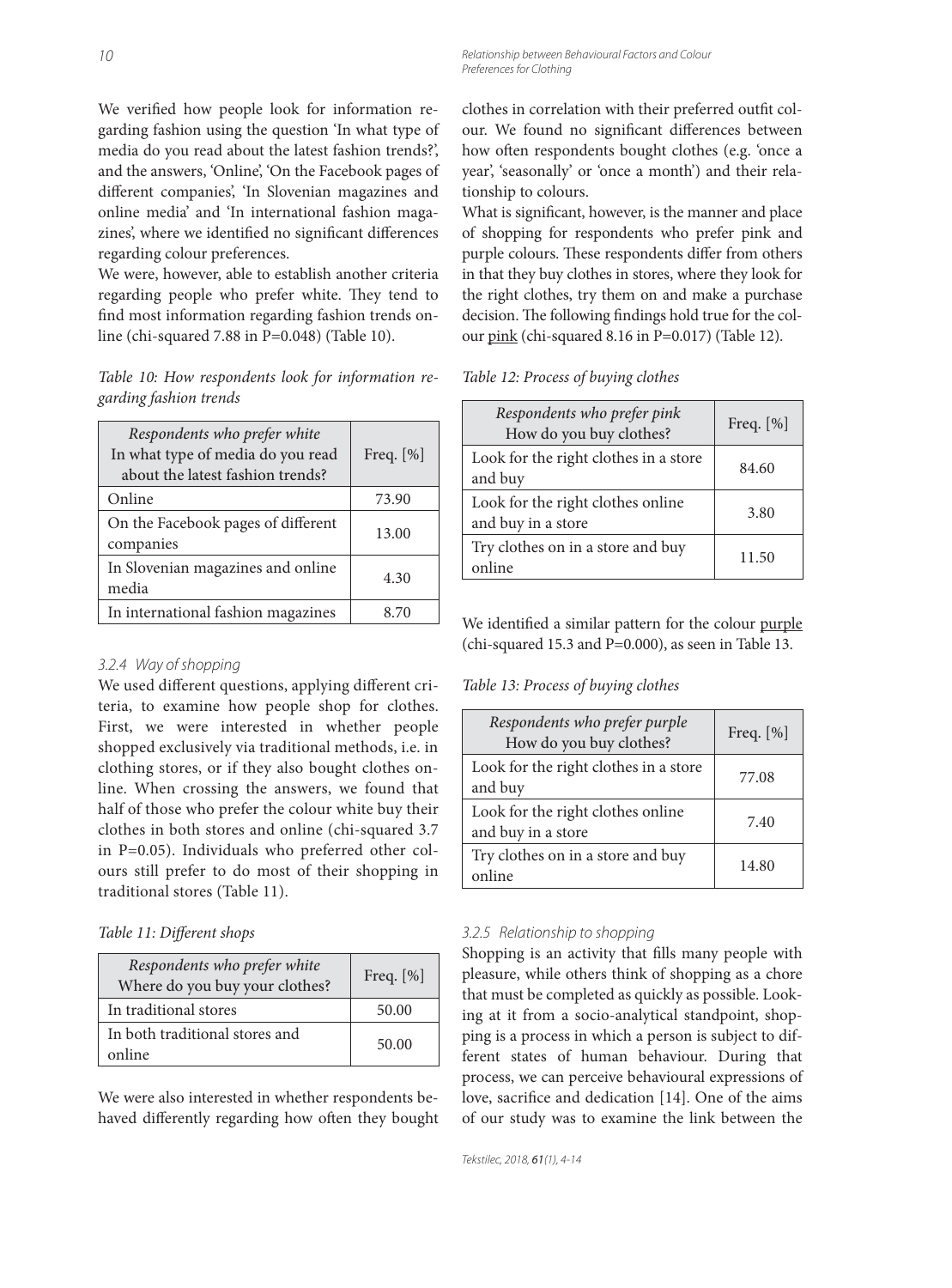We verified how people look for information regarding fashion using the question 'In what type of media do you read about the latest fashion trends?', and the answers, 'Online', 'On the Facebook pages of different companies', 'In Slovenian magazines and online media' and 'In international fashion magazines', where we identified no significant differences regarding colour preferences.

We were, however, able to establish another criteria regarding people who prefer white. They tend to find most information regarding fashion trends online (chi-squared 7.88 in P=0.048) (Table 10).

*Table 10: How respondents look for information regarding fashion trends*

| Respondents who prefer white<br>In what type of media do you read<br>about the latest fashion trends? | Freq. $[\%]$ |
|-------------------------------------------------------------------------------------------------------|--------------|
| Online                                                                                                | 73.90        |
| On the Facebook pages of different<br>companies                                                       | 13.00        |
| In Slovenian magazines and online<br>media                                                            | 4.30         |
| In international fashion magazines                                                                    | 8.70         |

#### 3.2.4 Way of shopping

We used different questions, applying different criteria, to examine how people shop for clothes. First, we were interested in whether people shopped exclusively via traditional methods, i.e. in clothing stores, or if they also bought clothes online. When crossing the answers, we found that half of those who prefer the colour white buy their clothes in both stores and online (chi-squared 3.7 in P=0.05). Individuals who preferred other colours still prefer to do most of their shopping in traditional stores (Table 11).

#### Table 11: Different shops

| Respondents who prefer white<br>Where do you buy your clothes? | Freq. $[\%]$ |
|----------------------------------------------------------------|--------------|
| In traditional stores                                          | 50.00        |
| In both traditional stores and<br>online                       | 50.00        |

We were also interested in whether respondents behaved differently regarding how often they bought clothes in correlation with their preferred outfit colour. We found no significant differences between how often respondents bought clothes (e.g. 'once a year', 'seasonally' or 'once a month') and their relationship to colours.

What is significant, however, is the manner and place of shopping for respondents who prefer pink and purple colours. These respondents differ from others in that they buy clothes in stores, where they look for the right clothes, try them on and make a purchase decision. The following findings hold true for the colour pink (chi-squared 8.16 in P=0.017) (Table 12).

*Table 12: Process of buying clothes*

| Respondents who prefer pink<br>How do you buy clothes?  | Freq. $[\%]$ |
|---------------------------------------------------------|--------------|
| Look for the right clothes in a store<br>and buy        | 84.60        |
| Look for the right clothes online<br>and buy in a store | 3.80         |
| Try clothes on in a store and buy<br>online             | 11.50        |

We identified a similar pattern for the colour purple (chi-squared 15.3 and P=0.000), as seen in Table 13.

*Table 13: Process of buying clothes*

| Respondents who prefer purple<br>How do you buy clothes? | Freq. $[\%]$ |
|----------------------------------------------------------|--------------|
| Look for the right clothes in a store<br>and buy         | 77.08        |
| Look for the right clothes online<br>and buy in a store  | 7.40         |
| Try clothes on in a store and buy<br>online              | 14.80        |

#### 3.2.5 Relationship to shopping

Shopping is an activity that fills many people with pleasure, while others think of shopping as a chore that must be completed as quickly as possible. Looking at it from a socio-analytical standpoint, shopping is a process in which a person is subject to different states of human behaviour. During that process, we can perceive behavioural expressions of love, sacrifice and dedication [14]. One of the aims of our study was to examine the link between the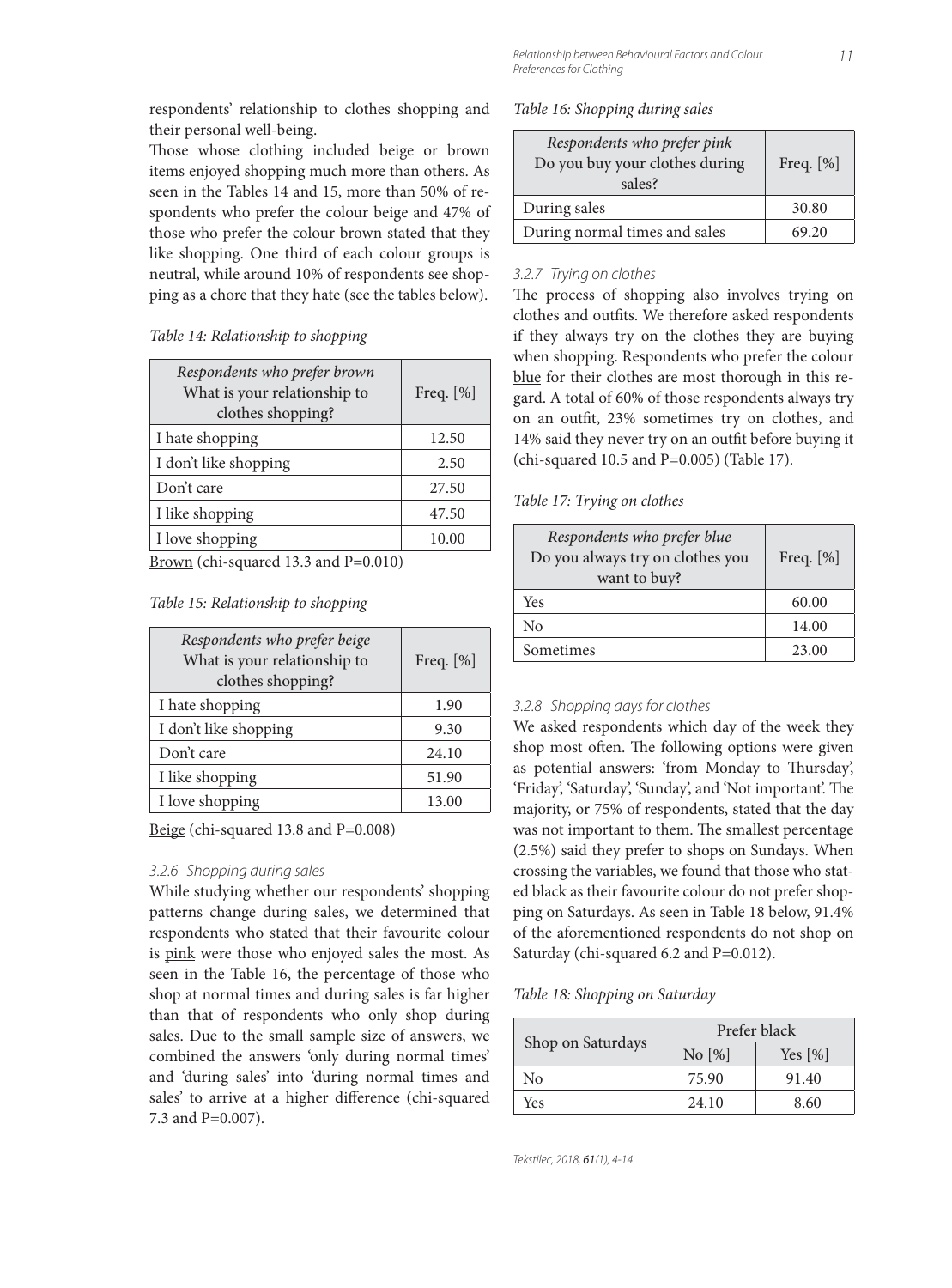respondents' relationship to clothes shopping and their personal well-being.

Those whose clothing included beige or brown items enjoyed shopping much more than others. As seen in the Tables 14 and 15, more than 50% of respondents who prefer the colour beige and 47% of those who prefer the colour brown stated that they like shopping. One third of each colour groups is neutral, while around 10% of respondents see shopping as a chore that they hate (see the tables below).

#### *Table 14: Relationship to shopping*

| Respondents who prefer brown<br>What is your relationship to<br>clothes shopping? | Freq. [%] |
|-----------------------------------------------------------------------------------|-----------|
| I hate shopping                                                                   | 12.50     |
| I don't like shopping                                                             | 2.50      |
| Don't care                                                                        | 27.50     |
| I like shopping                                                                   | 47.50     |
| I love shopping                                                                   | 10.00     |
| <b>Para 1999</b><br>$\sim$                                                        |           |

 $Brown (chi-squared 13.3 and P=0.010)$ </u>

#### *Table 15: Relationship to shopping*

| Respondents who prefer beige<br>What is your relationship to<br>clothes shopping? | Freq. $[\%]$ |
|-----------------------------------------------------------------------------------|--------------|
| I hate shopping                                                                   | 1.90         |
| I don't like shopping                                                             | 9.30         |
| Don't care                                                                        | 24.10        |
| I like shopping                                                                   | 51.90        |
| I love shopping                                                                   | 13.00        |

Beige (chi-squared 13.8 and P=0.008)

#### 3.2.6 Shopping during sales

While studying whether our respondents' shopping patterns change during sales, we determined that respondents who stated that their favourite colour is pink were those who enjoyed sales the most. As seen in the Table 16, the percentage of those who shop at normal times and during sales is far higher than that of respondents who only shop during sales. Due to the small sample size of answers, we combined the answers 'only during normal times' and 'during sales' into 'during normal times and sales' to arrive at a higher difference (chi-squared 7.3 and P=0.007).

|  | Table 16: Shopping during sales |  |  |
|--|---------------------------------|--|--|
|--|---------------------------------|--|--|

| Respondents who prefer pink<br>Do you buy your clothes during<br>sales? | Freq. $[\%]$ |
|-------------------------------------------------------------------------|--------------|
| During sales                                                            | 30.80        |
| During normal times and sales                                           | 69.20        |

#### 3.2.7 Trying on clothes

The process of shopping also involves trying on clothes and outfits. We therefore asked respondents if they always try on the clothes they are buying when shopping. Respondents who prefer the colour blue for their clothes are most thorough in this regard. A total of 60% of those respondents always try on an outfit, 23% sometimes try on clothes, and 14% said they never try on an outfit before buying it (chi-squared 10.5 and P=0.005) (Table 17).

#### *Table 17: Trying on clothes*

| Respondents who prefer blue<br>Do you always try on clothes you<br>want to buy? | Freq. $[\%]$ |
|---------------------------------------------------------------------------------|--------------|
| Yes                                                                             | 60.00        |
| No                                                                              | 14.00        |
| Sometimes                                                                       | 23.00        |

#### 3.2.8 Shopping days for clothes

We asked respondents which day of the week they shop most often. The following options were given as potential answers: 'from Monday to Thursday', 'Friday', 'Saturday', 'Sunday', and 'Not important'. The majority, or 75% of respondents, stated that the day was not important to them. The smallest percentage (2.5%) said they prefer to shops on Sundays. When crossing the variables, we found that those who stated black as their favourite colour do not prefer shopping on Saturdays. As seen in Table 18 below, 91.4% of the aforementioned respondents do not shop on Saturday (chi-squared 6.2 and P=0.012).

#### *Table 18: Shopping on Saturday*

|                   | Prefer black |                        |
|-------------------|--------------|------------------------|
| Shop on Saturdays | $\rm No$ [%] | Yes $\lceil \% \rceil$ |
| No                | 75.90        | 91.40                  |
| Yes               | 24.10        | 8.60                   |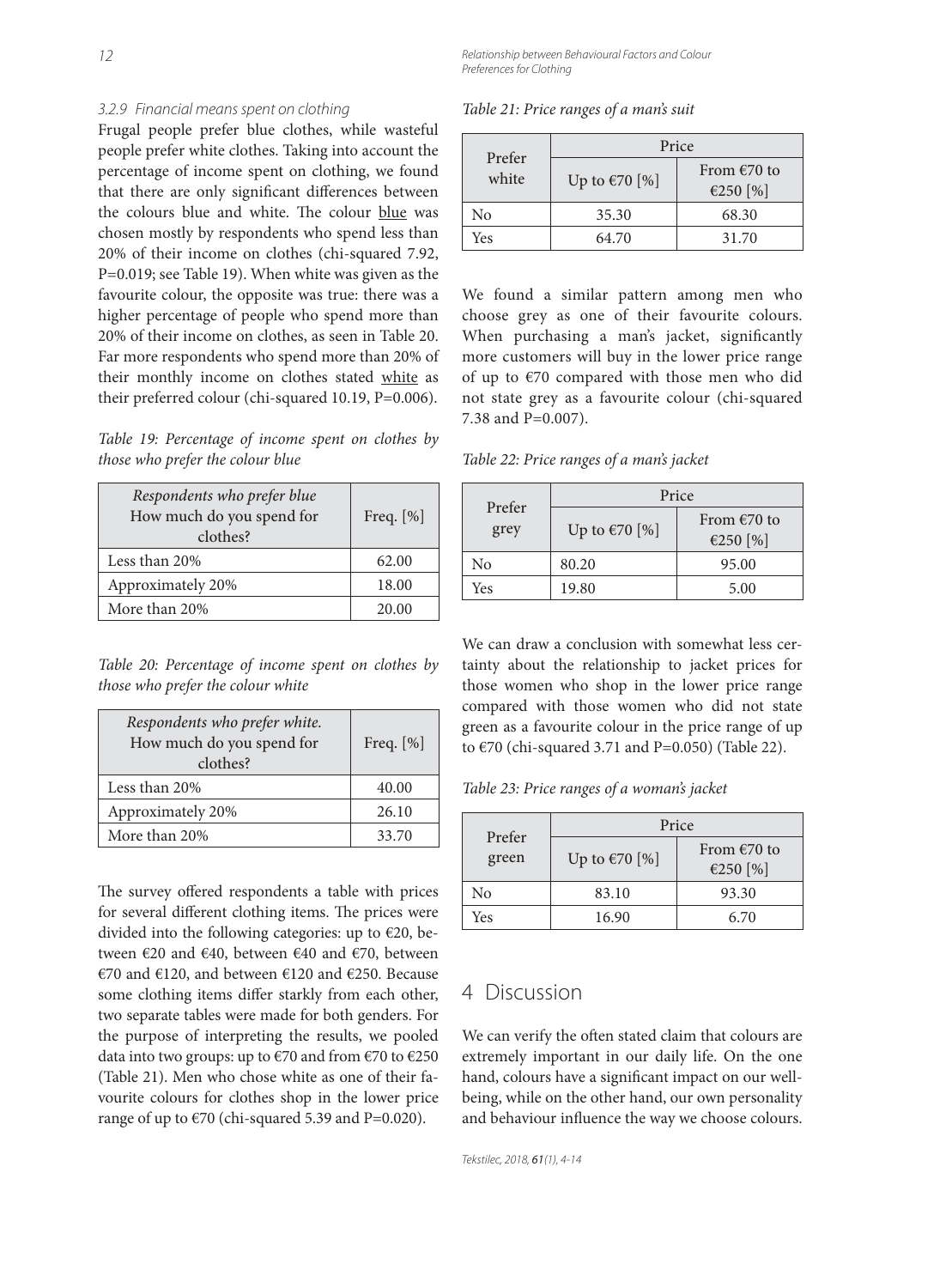12 Relationship between Behavioural Factors and Colour Preferences for Clothing

#### 3.2.9 Financial means spent on clothing

Frugal people prefer blue clothes, while wasteful people prefer white clothes. Taking into account the percentage of income spent on clothing, we found that there are only significant differences between the colours blue and white. The colour blue was chosen mostly by respondents who spend less than 20% of their income on clothes (chi-squared 7.92, P=0.019; see Table 19). When white was given as the favourite colour, the opposite was true: there was a higher percentage of people who spend more than 20% of their income on clothes, as seen in Table 20. Far more respondents who spend more than 20% of their monthly income on clothes stated white as their preferred colour (chi-squared 10.19, P=0.006).

*Table 19: Percentage of income spent on clothes by those who prefer the colour blue*

| Respondents who prefer blue<br>How much do you spend for<br>clothes? | Freq. $[\%]$ |
|----------------------------------------------------------------------|--------------|
| Less than 20%                                                        | 62.00        |
| Approximately 20%                                                    | 18.00        |
| More than 20%                                                        | 20.00        |

*Table 20: Percentage of income spent on clothes by those who prefer the colour white*

| Respondents who prefer white.<br>How much do you spend for<br>clothes? | Freq. $[\%]$ |
|------------------------------------------------------------------------|--------------|
| Less than 20%                                                          | 40.00        |
| Approximately 20%                                                      | 26.10        |
| More than 20%                                                          | 33.70        |

The survey offered respondents a table with prices for several different clothing items. The prices were divided into the following categories: up to €20, between €20 and €40, between €40 and €70, between €70 and €120, and between €120 and €250. Because some clothing items differ starkly from each other, two separate tables were made for both genders. For the purpose of interpreting the results, we pooled data into two groups: up to  $\epsilon$ 70 and from  $\epsilon$ 70 to  $\epsilon$ 250 (Table 21). Men who chose white as one of their favourite colours for clothes shop in the lower price range of up to  $\epsilon$ 70 (chi-squared 5.39 and P=0.020).

*Table 21: Price ranges of a man's suit*

| Prefer | Price                   |                                   |
|--------|-------------------------|-----------------------------------|
| white  | Up to $\epsilon$ 70 [%] | From $\epsilon$ 70 to<br>€250 [%] |
| Nο     | 35.30                   | 68.30                             |
| Yes    | 64.70                   | 31.70                             |

We found a similar pattern among men who choose grey as one of their favourite colours. When purchasing a man's jacket, significantly more customers will buy in the lower price range of up to €70 compared with those men who did not state grey as a favourite colour (chi-squared 7.38 and P=0.007).

*Table 22: Price ranges of a man's jacket*

| Prefer | Price                   |                                   |
|--------|-------------------------|-----------------------------------|
| grey   | Up to $\epsilon$ 70 [%] | From $\epsilon$ 70 to<br>€250 [%] |
| No     | 80.20                   | 95.00                             |
| Yes    | 19.80                   | 5.00                              |

We can draw a conclusion with somewhat less certainty about the relationship to jacket prices for those women who shop in the lower price range compared with those women who did not state green as a favourite colour in the price range of up to  $\epsilon$ 70 (chi-squared 3.71 and P=0.050) (Table 22).

*Table 23: Price ranges of a woman's jacket*

| Prefer<br>green | Price                   |                                   |
|-----------------|-------------------------|-----------------------------------|
|                 | Up to $\epsilon$ 70 [%] | From $\epsilon$ 70 to<br>€250 [%] |
| No              | 83.10                   | 93.30                             |
| Yes             | 16.90                   | 6.70                              |

### 4 Discussion

We can verify the often stated claim that colours are extremely important in our daily life. On the one hand, colours have a significant impact on our wellbeing, while on the other hand, our own personality and behaviour influence the way we choose colours.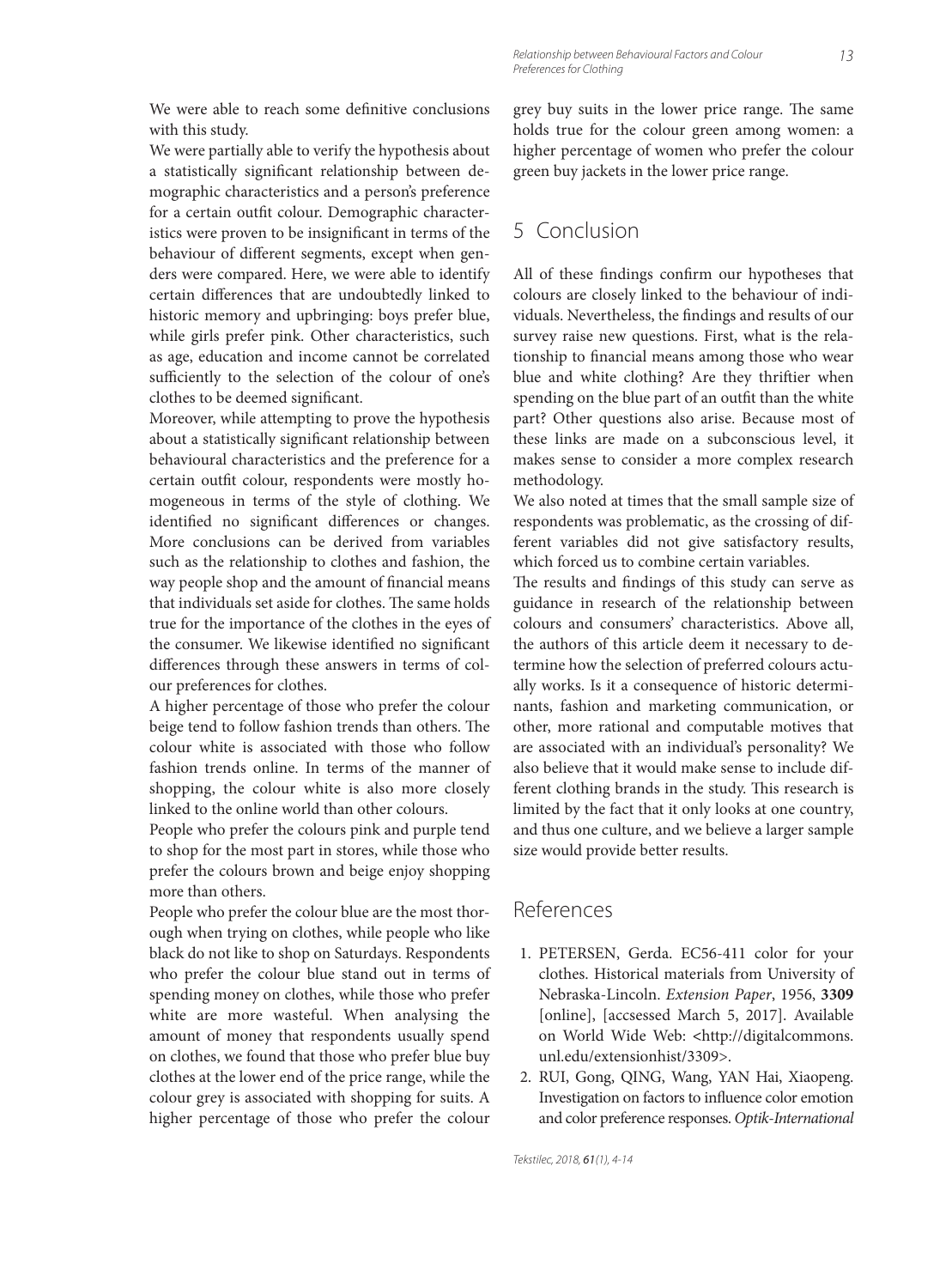We were able to reach some definitive conclusions with this study.

We were partially able to verify the hypothesis about a statistically significant relationship between demographic characteristics and a person's preference for a certain outfit colour. Demographic characteristics were proven to be insignificant in terms of the behaviour of different segments, except when genders were compared. Here, we were able to identify certain differences that are undoubtedly linked to historic memory and upbringing: boys prefer blue, while girls prefer pink. Other characteristics, such as age, education and income cannot be correlated sufficiently to the selection of the colour of one's clothes to be deemed significant.

Moreover, while attempting to prove the hypothesis about a statistically significant relationship between behavioural characteristics and the preference for a certain outfit colour, respondents were mostly homogeneous in terms of the style of clothing. We identified no significant differences or changes. More conclusions can be derived from variables such as the relationship to clothes and fashion, the way people shop and the amount of financial means that individuals set aside for clothes. The same holds true for the importance of the clothes in the eyes of the consumer. We likewise identified no significant differences through these answers in terms of colour preferences for clothes.

A higher percentage of those who prefer the colour beige tend to follow fashion trends than others. The colour white is associated with those who follow fashion trends online. In terms of the manner of shopping, the colour white is also more closely linked to the online world than other colours.

People who prefer the colours pink and purple tend to shop for the most part in stores, while those who prefer the colours brown and beige enjoy shopping more than others.

People who prefer the colour blue are the most thorough when trying on clothes, while people who like black do not like to shop on Saturdays. Respondents who prefer the colour blue stand out in terms of spending money on clothes, while those who prefer white are more wasteful. When analysing the amount of money that respondents usually spend on clothes, we found that those who prefer blue buy clothes at the lower end of the price range, while the colour grey is associated with shopping for suits. A higher percentage of those who prefer the colour

grey buy suits in the lower price range. The same holds true for the colour green among women: a higher percentage of women who prefer the colour green buy jackets in the lower price range.

# 5 Conclusion

All of these findings confirm our hypotheses that colours are closely linked to the behaviour of individuals. Nevertheless, the findings and results of our survey raise new questions. First, what is the relationship to financial means among those who wear blue and white clothing? Are they thriftier when spending on the blue part of an outfit than the white part? Other questions also arise. Because most of these links are made on a subconscious level, it makes sense to consider a more complex research methodology.

We also noted at times that the small sample size of respondents was problematic, as the crossing of different variables did not give satisfactory results, which forced us to combine certain variables.

The results and findings of this study can serve as guidance in research of the relationship between colours and consumers' characteristics. Above all, the authors of this article deem it necessary to determine how the selection of preferred colours actually works. Is it a consequence of historic determinants, fashion and marketing communication, or other, more rational and computable motives that are associated with an individual's personality? We also believe that it would make sense to include different clothing brands in the study. This research is limited by the fact that it only looks at one country, and thus one culture, and we believe a larger sample size would provide better results.

### References

- 1. PETERSEN, Gerda. EC56-411 color for your clothes. Historical materials from University of Nebraska-Lincoln. *Extension Paper*, 1956, **3309** [online], [accsessed March 5, 2017]. Available on World Wide Web: **<**http://digitalcommons. unl.edu/extensionhist/3309>.
- 2. RUI, Gong, QING, Wang, YAN Hai, Xiaopeng. Investigation on factors to influence color emotion and color preference responses. *Optik-International*